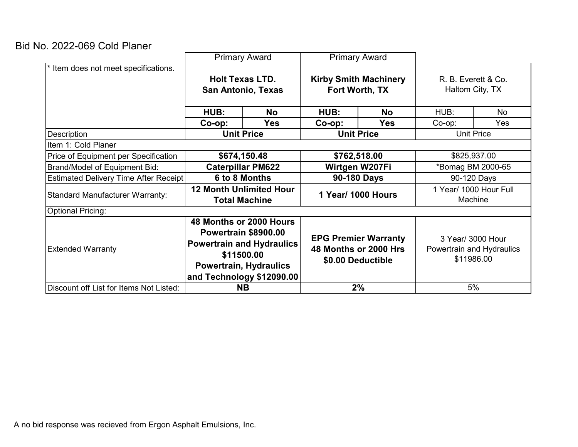## Bid No. 2022-069 Cold Planer

|                                              | <b>Primary Award</b>                                                                                                                                            |            | <b>Primary Award</b>                                                      |            |                                                |     |
|----------------------------------------------|-----------------------------------------------------------------------------------------------------------------------------------------------------------------|------------|---------------------------------------------------------------------------|------------|------------------------------------------------|-----|
| Item does not meet specifications.           |                                                                                                                                                                 |            |                                                                           |            |                                                |     |
|                                              | <b>Holt Texas LTD.</b>                                                                                                                                          |            | <b>Kirby Smith Machinery</b>                                              |            | R. B. Everett & Co.                            |     |
|                                              | <b>San Antonio, Texas</b>                                                                                                                                       |            | Fort Worth, TX                                                            |            | Haltom City, TX                                |     |
|                                              |                                                                                                                                                                 |            |                                                                           |            |                                                |     |
|                                              | HUB:                                                                                                                                                            | <b>No</b>  | HUB:                                                                      | <b>No</b>  | HUB:                                           | No  |
|                                              | $Co$ -op:                                                                                                                                                       | <b>Yes</b> | $Co$ -op:                                                                 | <b>Yes</b> | Co-op:                                         | Yes |
| Description                                  | <b>Unit Price</b>                                                                                                                                               |            | <b>Unit Price</b>                                                         |            | <b>Unit Price</b>                              |     |
| Item 1: Cold Planer                          |                                                                                                                                                                 |            |                                                                           |            |                                                |     |
| Price of Equipment per Specification         | \$674,150.48                                                                                                                                                    |            | \$762,518.00                                                              |            | \$825,937.00                                   |     |
| Brand/Model of Equipment Bid:                | <b>Caterpillar PM622</b>                                                                                                                                        |            | Wirtgen W207Fi                                                            |            | *Bomag BM 2000-65                              |     |
| <b>Estimated Delivery Time After Receipt</b> | 6 to 8 Months                                                                                                                                                   |            | 90-180 Days                                                               |            | 90-120 Days                                    |     |
| <b>Standard Manufacturer Warranty:</b>       | <b>12 Month Unlimited Hour</b>                                                                                                                                  |            | 1 Year/ 1000 Hours                                                        |            | 1 Year/ 1000 Hour Full                         |     |
|                                              | <b>Total Machine</b>                                                                                                                                            |            |                                                                           |            | Machine                                        |     |
| <b>Optional Pricing:</b>                     |                                                                                                                                                                 |            |                                                                           |            |                                                |     |
|                                              | 48 Months or 2000 Hours<br>Powertrain \$8900.00<br><b>Powertrain and Hydraulics</b><br>\$11500.00<br><b>Powertrain, Hydraulics</b><br>and Technology \$12090.00 |            | <b>EPG Premier Warranty</b><br>48 Months or 2000 Hrs<br>\$0.00 Deductible |            |                                                |     |
| <b>Extended Warranty</b>                     |                                                                                                                                                                 |            |                                                                           |            | 3 Year/ 3000 Hour<br>Powertrain and Hydraulics |     |
|                                              |                                                                                                                                                                 |            |                                                                           |            |                                                |     |
|                                              |                                                                                                                                                                 |            |                                                                           |            |                                                |     |
|                                              |                                                                                                                                                                 |            |                                                                           |            |                                                |     |
| Discount off List for Items Not Listed:      |                                                                                                                                                                 |            | <b>NB</b>                                                                 |            | 2%                                             |     |